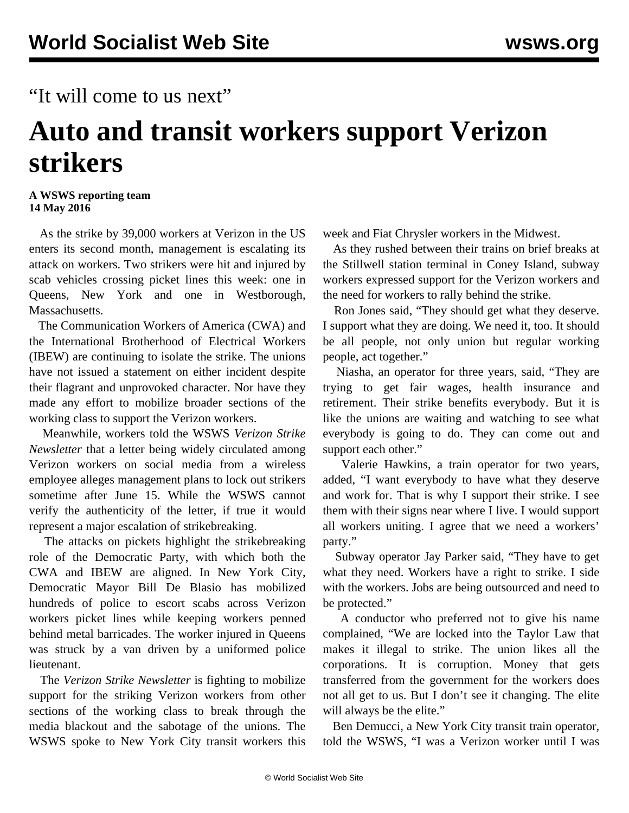## "It will come to us next"

## **Auto and transit workers support Verizon strikers**

## **A WSWS reporting team 14 May 2016**

 As the strike by 39,000 workers at Verizon in the US enters its second month, management is escalating its attack on workers. Two strikers were hit and injured by scab vehicles crossing picket lines this week: one in Queens, New York and one in Westborough, Massachusetts.

 The Communication Workers of America (CWA) and the International Brotherhood of Electrical Workers (IBEW) are continuing to isolate the strike. The unions have not issued a statement on either incident despite their flagrant and unprovoked character. Nor have they made any effort to mobilize broader sections of the working class to support the Verizon workers.

 Meanwhile, workers told the WSWS *Verizon Strike Newsletter* that a letter being widely circulated among Verizon workers on social media from a wireless employee alleges management plans to lock out strikers sometime after June 15. While the WSWS cannot verify the authenticity of the letter, if true it would represent a major escalation of strikebreaking.

 The attacks on pickets highlight the strikebreaking role of the Democratic Party, with which both the CWA and IBEW are aligned. In New York City, Democratic Mayor Bill De Blasio has mobilized hundreds of police to escort scabs across Verizon workers picket lines while keeping workers penned behind metal barricades. The worker injured in Queens was struck by a van driven by a uniformed police lieutenant.

 The *Verizon Strike Newsletter* is fighting to mobilize support for the striking Verizon workers from other sections of the working class to break through the media blackout and the sabotage of the unions. The WSWS spoke to New York City transit workers this

week and Fiat Chrysler workers in the Midwest.

 As they rushed between their trains on brief breaks at the Stillwell station terminal in Coney Island, subway workers expressed support for the Verizon workers and the need for workers to rally behind the strike.

 Ron Jones said, "They should get what they deserve. I support what they are doing. We need it, too. It should be all people, not only union but regular working people, act together."

 Niasha, an operator for three years, said, "They are trying to get fair wages, health insurance and retirement. Their strike benefits everybody. But it is like the unions are waiting and watching to see what everybody is going to do. They can come out and support each other."

 Valerie Hawkins, a train operator for two years, added, "I want everybody to have what they deserve and work for. That is why I support their strike. I see them with their signs near where I live. I would support all workers uniting. I agree that we need a workers' party."

 Subway operator Jay Parker said, "They have to get what they need. Workers have a right to strike. I side with the workers. Jobs are being outsourced and need to be protected."

 A conductor who preferred not to give his name complained, "We are locked into the Taylor Law that makes it illegal to strike. The union likes all the corporations. It is corruption. Money that gets transferred from the government for the workers does not all get to us. But I don't see it changing. The elite will always be the elite."

 Ben Demucci, a New York City transit train operator, told the WSWS, "I was a Verizon worker until I was